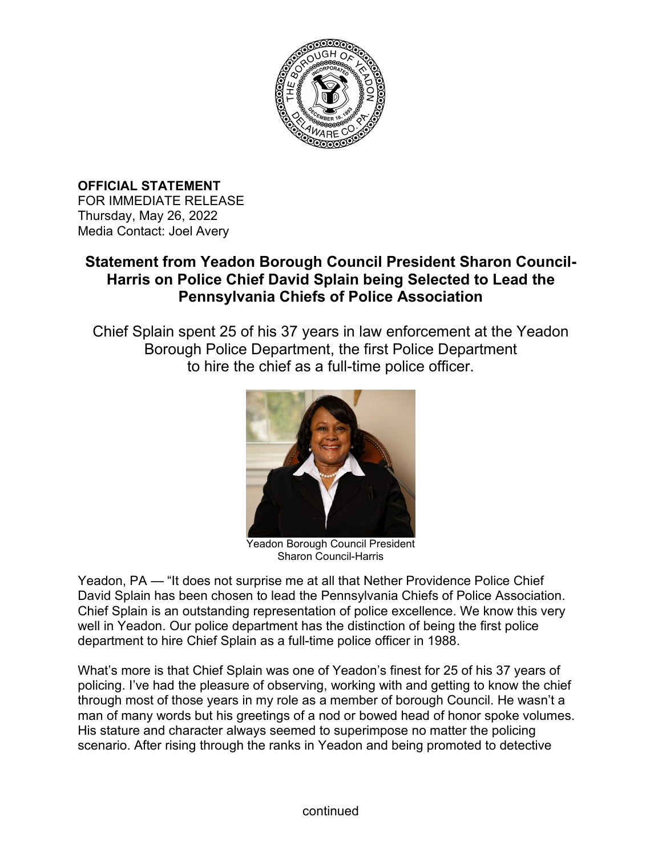

**OFFICIAL STATEMENT**  FOR IMMEDIATE RELEASE Thursday, May 26, 2022 Media Contact: Joel Avery

## **Statement from Yeadon Borough Council President Sharon Council-Harris on Police Chief David Splain being Selected to Lead the Pennsylvania Chiefs of Police Association**

Chief Splain spent 25 of his 37 years in law enforcement at the Yeadon Borough Police Department, the first Police Department to hire the chief as a full-time police officer.



Yeadon Borough Council President Sharon Council-Harris

Yeadon, PA — "It does not surprise me at all that Nether Providence Police Chief David Splain has been chosen to lead the Pennsylvania Chiefs of Police Association. Chief Splain is an outstanding representation of police excellence. We know this very well in Yeadon. Our police department has the distinction of being the first police department to hire Chief Splain as a full-time police officer in 1988.

What's more is that Chief Splain was one of Yeadon's finest for 25 of his 37 years of policing. I've had the pleasure of observing, working with and getting to know the chief through most of those years in my role as a member of borough Council. He wasn't a man of many words but his greetings of a nod or bowed head of honor spoke volumes. His stature and character always seemed to superimpose no matter the policing scenario. After rising through the ranks in Yeadon and being promoted to detective